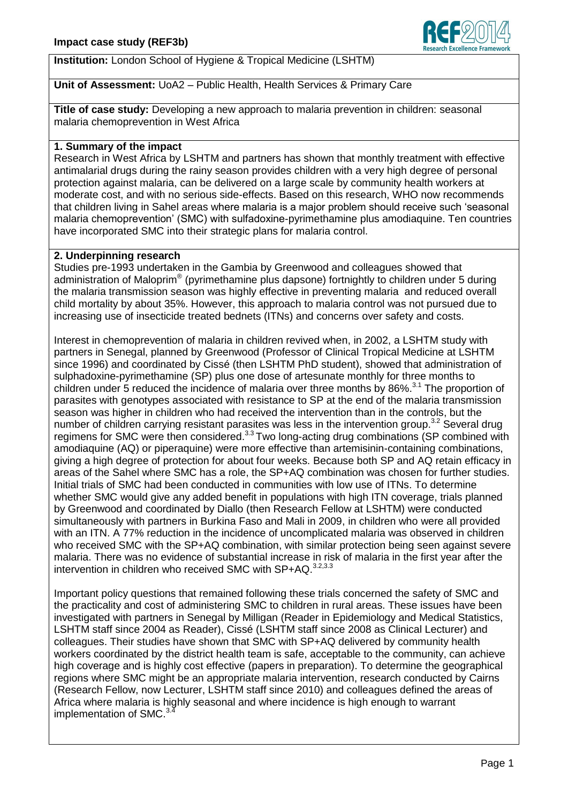

## **Institution:** London School of Hygiene & Tropical Medicine (LSHTM)

# **Unit of Assessment:** UoA2 – Public Health, Health Services & Primary Care

**Title of case study:** Developing a new approach to malaria prevention in children: seasonal malaria chemoprevention in West Africa

#### **1. Summary of the impact**

Research in West Africa by LSHTM and partners has shown that monthly treatment with effective antimalarial drugs during the rainy season provides children with a very high degree of personal protection against malaria, can be delivered on a large scale by community health workers at moderate cost, and with no serious side-effects. Based on this research, WHO now recommends that children living in Sahel areas where malaria is a major problem should receive such 'seasonal malaria chemoprevention' (SMC) with sulfadoxine-pyrimethamine plus amodiaquine. Ten countries have incorporated SMC into their strategic plans for malaria control.

### **2. Underpinning research**

Studies pre-1993 undertaken in the Gambia by Greenwood and colleagues showed that administration of Maloprim® (pyrimethamine plus dapsone) fortnightly to children under 5 during the malaria transmission season was highly effective in preventing malaria and reduced overall child mortality by about 35%. However, this approach to malaria control was not pursued due to increasing use of insecticide treated bednets (ITNs) and concerns over safety and costs.

Interest in chemoprevention of malaria in children revived when, in 2002, a LSHTM study with partners in Senegal, planned by Greenwood (Professor of Clinical Tropical Medicine at LSHTM since 1996) and coordinated by Cissé (then LSHTM PhD student), showed that administration of sulphadoxine-pyrimethamine (SP) plus one dose of artesunate monthly for three months to children under 5 reduced the incidence of malaria over three months by 86%.<sup>3.1</sup> The proportion of parasites with genotypes associated with resistance to SP at the end of the malaria transmission season was higher in children who had received the intervention than in the controls, but the number of children carrying resistant parasites was less in the intervention group.<sup>3.2</sup> Several drug regimens for SMC were then considered.<sup>3.3</sup> Two long-acting drug combinations (SP combined with amodiaquine (AQ) or piperaquine) were more effective than artemisinin-containing combinations, giving a high degree of protection for about four weeks. Because both SP and AQ retain efficacy in areas of the Sahel where SMC has a role, the SP+AQ combination was chosen for further studies. Initial trials of SMC had been conducted in communities with low use of ITNs. To determine whether SMC would give any added benefit in populations with high ITN coverage, trials planned by Greenwood and coordinated by Diallo (then Research Fellow at LSHTM) were conducted simultaneously with partners in Burkina Faso and Mali in 2009, in children who were all provided with an ITN. A 77% reduction in the incidence of uncomplicated malaria was observed in children who received SMC with the SP+AQ combination, with similar protection being seen against severe malaria. There was no evidence of substantial increase in risk of malaria in the first year after the intervention in children who received SMC with SP+AQ.<sup>3.2,3.3</sup>

Important policy questions that remained following these trials concerned the safety of SMC and the practicality and cost of administering SMC to children in rural areas. These issues have been investigated with partners in Senegal by Milligan (Reader in Epidemiology and Medical Statistics, LSHTM staff since 2004 as Reader), Cissé (LSHTM staff since 2008 as Clinical Lecturer) and colleagues. Their studies have shown that SMC with SP+AQ delivered by community health workers coordinated by the district health team is safe, acceptable to the community, can achieve high coverage and is highly cost effective (papers in preparation). To determine the geographical regions where SMC might be an appropriate malaria intervention, research conducted by Cairns (Research Fellow, now Lecturer, LSHTM staff since 2010) and colleagues defined the areas of Africa where malaria is highly seasonal and where incidence is high enough to warrant implementation of SMC.<sup>3.4</sup>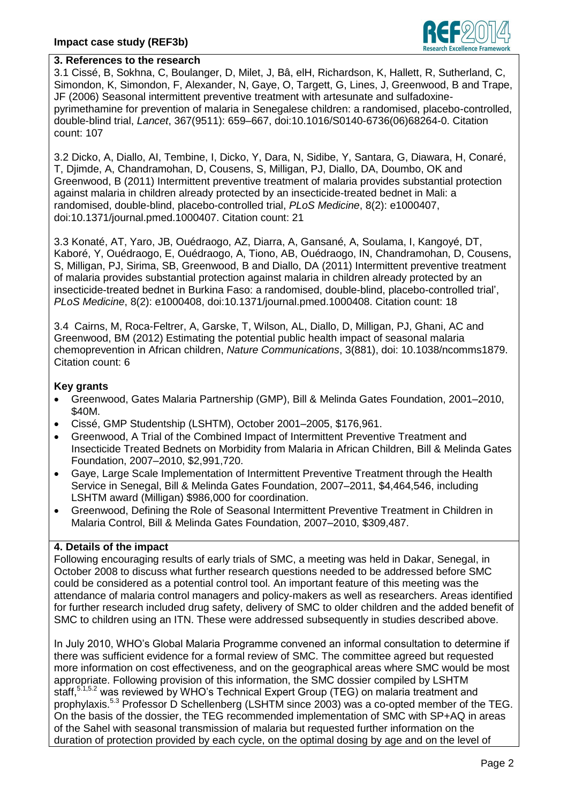

### **3. References to the research**

3.1 Cissé, B, Sokhna, C, Boulanger, D, Milet, J, Bâ, elH, Richardson, K, Hallett, R, Sutherland, C, Simondon, K, Simondon, F, Alexander, N, Gaye, O, Targett, G, Lines, J, Greenwood, B and Trape, JF (2006) Seasonal intermittent preventive treatment with artesunate and sulfadoxinepyrimethamine for prevention of malaria in Senegalese children: a randomised, placebo-controlled, double-blind trial, *Lancet*, 367(9511): 659–667, doi:10.1016/S0140-6736(06)68264-0. Citation count: 107

3.2 Dicko, A, Diallo, AI, Tembine, I, Dicko, Y, Dara, N, Sidibe, Y, Santara, G, Diawara, H, Conaré, T, Djimde, A, Chandramohan, D, Cousens, S, Milligan, PJ, Diallo, DA, Doumbo, OK and Greenwood, B (2011) Intermittent preventive treatment of malaria provides substantial protection against malaria in children already protected by an insecticide-treated bednet in Mali: a randomised, double-blind, placebo-controlled trial, *PLoS Medicine*, 8(2): e1000407, doi:10.1371/journal.pmed.1000407. Citation count: 21

3.3 Konaté, AT, Yaro, JB, Ouédraogo, AZ, Diarra, A, Gansané, A, Soulama, I, Kangoyé, DT, Kaboré, Y, Ouédraogo, E, Ouédraogo, A, Tiono, AB, Ouédraogo, IN, Chandramohan, D, Cousens, S, Milligan, PJ, Sirima, SB, Greenwood, B and Diallo, DA (2011) Intermittent preventive treatment of malaria provides substantial protection against malaria in children already protected by an insecticide-treated bednet in Burkina Faso: a randomised, double-blind, placebo-controlled trial', *PLoS Medicine*, 8(2): e1000408, doi:10.1371/journal.pmed.1000408. Citation count: 18

3.4 Cairns, M, Roca-Feltrer, A, Garske, T, Wilson, AL, Diallo, D, Milligan, PJ, Ghani, AC and Greenwood, BM (2012) Estimating the potential public health impact of seasonal malaria chemoprevention in African children, *Nature Communications*, 3(881), doi: 10.1038/ncomms1879. Citation count: 6

### **Key grants**

- Greenwood, Gates Malaria Partnership (GMP), Bill & Melinda Gates Foundation, 2001–2010, \$40M.
- Cissé, GMP Studentship (LSHTM), October 2001–2005, \$176,961.
- Greenwood, A Trial of the Combined Impact of Intermittent Preventive Treatment and Insecticide Treated Bednets on Morbidity from Malaria in African Children, Bill & Melinda Gates Foundation, 2007–2010, \$2,991,720.
- Gaye, Large Scale Implementation of Intermittent Preventive Treatment through the Health Service in Senegal, Bill & Melinda Gates Foundation, 2007–2011, \$4,464,546, including LSHTM award (Milligan) \$986,000 for coordination.
- Greenwood, Defining the Role of Seasonal Intermittent Preventive Treatment in Children in Malaria Control, Bill & Melinda Gates Foundation, 2007–2010, \$309,487.

## **4. Details of the impact**

Following encouraging results of early trials of SMC, a meeting was held in Dakar, Senegal, in October 2008 to discuss what further research questions needed to be addressed before SMC could be considered as a potential control tool. An important feature of this meeting was the attendance of malaria control managers and policy-makers as well as researchers. Areas identified for further research included drug safety, delivery of SMC to older children and the added benefit of SMC to children using an ITN. These were addressed subsequently in studies described above.

In July 2010, WHO's Global Malaria Programme convened an informal consultation to determine if there was sufficient evidence for a formal review of SMC. The committee agreed but requested more information on cost effectiveness, and on the geographical areas where SMC would be most appropriate. Following provision of this information, the SMC dossier compiled by LSHTM staff,<sup>5.1,5.2</sup> was reviewed by WHO's Technical Expert Group (TEG) on malaria treatment and prophylaxis.<sup>5.3</sup> Professor D Schellenberg (LSHTM since 2003) was a co-opted member of the TEG. On the basis of the dossier, the TEG recommended implementation of SMC with SP+AQ in areas of the Sahel with seasonal transmission of malaria but requested further information on the duration of protection provided by each cycle, on the optimal dosing by age and on the level of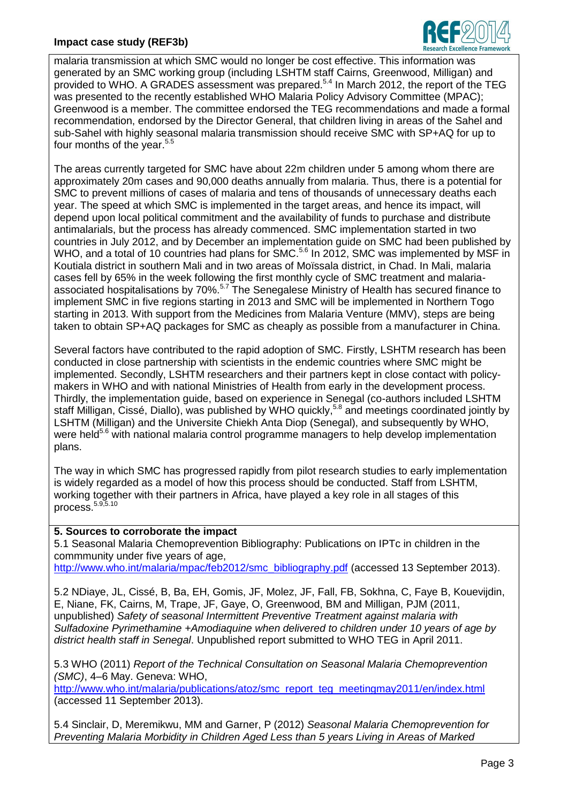# **Impact case study (REF3b)**



malaria transmission at which SMC would no longer be cost effective. This information was generated by an SMC working group (including LSHTM staff Cairns, Greenwood, Milligan) and provided to WHO. A GRADES assessment was prepared. 5.4 In March 2012, the report of the TEG was presented to the recently established WHO Malaria Policy Advisory Committee (MPAC); Greenwood is a member. The committee endorsed the TEG recommendations and made a formal recommendation, endorsed by the Director General, that children living in areas of the Sahel and sub-Sahel with highly seasonal malaria transmission should receive SMC with SP+AQ for up to four months of the year.<sup>5.5</sup>

The areas currently targeted for SMC have about 22m children under 5 among whom there are approximately 20m cases and 90,000 deaths annually from malaria. Thus, there is a potential for SMC to prevent millions of cases of malaria and tens of thousands of unnecessary deaths each year. The speed at which SMC is implemented in the target areas, and hence its impact, will depend upon local political commitment and the availability of funds to purchase and distribute antimalarials, but the process has already commenced. SMC implementation started in two countries in July 2012, and by December an implementation guide on SMC had been published by WHO, and a total of 10 countries had plans for SMC.<sup>5.6</sup> In 2012, SMC was implemented by MSF in Koutiala district in southern Mali and in two areas of Moïssala district, in Chad. In Mali, malaria cases fell by 65% in the week following the first monthly cycle of SMC treatment and malariaassociated hospitalisations by 70%.<sup>5.7</sup> The Senegalese Ministry of Health has secured finance to implement SMC in five regions starting in 2013 and SMC will be implemented in Northern Togo starting in 2013. With support from the Medicines from Malaria Venture (MMV), steps are being taken to obtain SP+AQ packages for SMC as cheaply as possible from a manufacturer in China.

Several factors have contributed to the rapid adoption of SMC. Firstly, LSHTM research has been conducted in close partnership with scientists in the endemic countries where SMC might be implemented. Secondly, LSHTM researchers and their partners kept in close contact with policymakers in WHO and with national Ministries of Health from early in the development process. Thirdly, the implementation guide, based on experience in Senegal (co-authors included LSHTM staff Milligan, Cissé, Diallo), was published by WHO quickly,<sup>5,8</sup> and meetings coordinated jointly by LSHTM (Milligan) and the Universite Chiekh Anta Diop (Senegal), and subsequently by WHO, were held<sup>5.6</sup> with national malaria control programme managers to help develop implementation plans.

The way in which SMC has progressed rapidly from pilot research studies to early implementation is widely regarded as a model of how this process should be conducted. Staff from LSHTM, working together with their partners in Africa, have played a key role in all stages of this process.<sup>5.9,5.10</sup>

#### **5. Sources to corroborate the impact**

5.1 Seasonal Malaria Chemoprevention Bibliography: Publications on IPTc in children in the commmunity under five years of age,

[http://www.who.int/malaria/mpac/feb2012/smc\\_bibliography.pdf](http://www.who.int/malaria/mpac/feb2012/smc_bibliography.pdf) (accessed 13 September 2013).

5.2 NDiaye, JL, Cissé, B, Ba, EH, Gomis, JF, Molez, JF, Fall, FB, Sokhna, C, Faye B, Kouevijdin, E, Niane, FK, Cairns, M, Trape, JF, Gaye, O, Greenwood, BM and Milligan, PJM (2011, unpublished) *Safety of seasonal Intermittent Preventive Treatment against malaria with Sulfadoxine Pyrimethamine +Amodiaquine when delivered to children under 10 years of age by district health staff in Senegal*. Unpublished report submitted to WHO TEG in April 2011.

5.3 WHO (2011) *Report of the Technical Consultation on Seasonal Malaria Chemoprevention (SMC)*, 4–6 May. Geneva: WHO,

[http://www.who.int/malaria/publications/atoz/smc\\_report\\_teg\\_meetingmay2011/en/index.html](http://www.who.int/malaria/publications/atoz/smc_report_teg_meetingmay2011/en/index.html) (accessed 11 September 2013).

5.4 Sinclair, D, Meremikwu, MM and Garner, P (2012) *Seasonal Malaria Chemoprevention for Preventing Malaria Morbidity in Children Aged Less than 5 years Living in Areas of Marked*